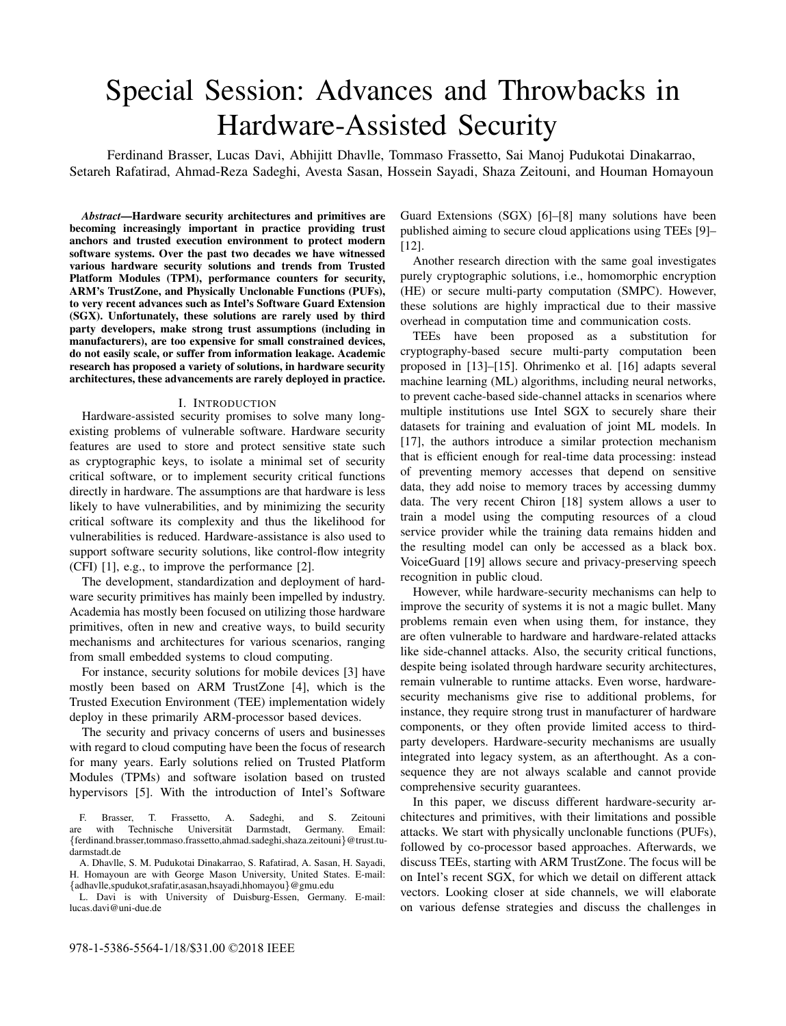# Special Session: Advances and Throwbacks in Hardware-Assisted Security

Ferdinand Brasser, Lucas Davi, Abhijitt Dhavlle, Tommaso Frassetto, Sai Manoj Pudukotai Dinakarrao, Setareh Rafatirad, Ahmad-Reza Sadeghi, Avesta Sasan, Hossein Sayadi, Shaza Zeitouni, and Houman Homayoun

*Abstract*—Hardware security architectures and primitives are becoming increasingly important in practice providing trust anchors and trusted execution environment to protect modern software systems. Over the past two decades we have witnessed various hardware security solutions and trends from Trusted Platform Modules (TPM), performance counters for security, ARM's TrustZone, and Physically Unclonable Functions (PUFs), to very recent advances such as Intel's Software Guard Extension (SGX). Unfortunately, these solutions are rarely used by third party developers, make strong trust assumptions (including in manufacturers), are too expensive for small constrained devices, do not easily scale, or suffer from information leakage. Academic research has proposed a variety of solutions, in hardware security architectures, these advancements are rarely deployed in practice.

#### I. INTRODUCTION

Hardware-assisted security promises to solve many longexisting problems of vulnerable software. Hardware security features are used to store and protect sensitive state such as cryptographic keys, to isolate a minimal set of security critical software, or to implement security critical functions directly in hardware. The assumptions are that hardware is less likely to have vulnerabilities, and by minimizing the security critical software its complexity and thus the likelihood for vulnerabilities is reduced. Hardware-assistance is also used to support software security solutions, like control-flow integrity (CFI) [1], e.g., to improve the performance [2].

The development, standardization and deployment of hardware security primitives has mainly been impelled by industry. Academia has mostly been focused on utilizing those hardware primitives, often in new and creative ways, to build security mechanisms and architectures for various scenarios, ranging from small embedded systems to cloud computing.

For instance, security solutions for mobile devices [3] have mostly been based on ARM TrustZone [4], which is the Trusted Execution Environment (TEE) implementation widely deploy in these primarily ARM-processor based devices.

The security and privacy concerns of users and businesses with regard to cloud computing have been the focus of research for many years. Early solutions relied on Trusted Platform Modules (TPMs) and software isolation based on trusted hypervisors [5]. With the introduction of Intel's Software

Guard Extensions (SGX) [6]–[8] many solutions have been published aiming to secure cloud applications using TEEs [9]– [12].

Another research direction with the same goal investigates purely cryptographic solutions, i.e., homomorphic encryption (HE) or secure multi-party computation (SMPC). However, these solutions are highly impractical due to their massive overhead in computation time and communication costs.

TEEs have been proposed as a substitution for cryptography-based secure multi-party computation been proposed in [13]–[15]. Ohrimenko et al. [16] adapts several machine learning (ML) algorithms, including neural networks, to prevent cache-based side-channel attacks in scenarios where multiple institutions use Intel SGX to securely share their datasets for training and evaluation of joint ML models. In [17], the authors introduce a similar protection mechanism that is efficient enough for real-time data processing: instead of preventing memory accesses that depend on sensitive data, they add noise to memory traces by accessing dummy data. The very recent Chiron [18] system allows a user to train a model using the computing resources of a cloud service provider while the training data remains hidden and the resulting model can only be accessed as a black box. VoiceGuard [19] allows secure and privacy-preserving speech recognition in public cloud.

However, while hardware-security mechanisms can help to improve the security of systems it is not a magic bullet. Many problems remain even when using them, for instance, they are often vulnerable to hardware and hardware-related attacks like side-channel attacks. Also, the security critical functions, despite being isolated through hardware security architectures, remain vulnerable to runtime attacks. Even worse, hardwaresecurity mechanisms give rise to additional problems, for instance, they require strong trust in manufacturer of hardware components, or they often provide limited access to thirdparty developers. Hardware-security mechanisms are usually integrated into legacy system, as an afterthought. As a consequence they are not always scalable and cannot provide comprehensive security guarantees.

In this paper, we discuss different hardware-security architectures and primitives, with their limitations and possible attacks. We start with physically unclonable functions (PUFs), followed by co-processor based approaches. Afterwards, we discuss TEEs, starting with ARM TrustZone. The focus will be on Intel's recent SGX, for which we detail on different attack vectors. Looking closer at side channels, we will elaborate on various defense strategies and discuss the challenges in

F. Brasser, T. Frassetto, A. Sadeghi, and S. Zeitouni Technische Universität {ferdinand.brasser,tommaso.frassetto,ahmad.sadeghi,shaza.zeitouni}@trust.tudarmstadt.de

A. Dhavlle, S. M. Pudukotai Dinakarrao, S. Rafatirad, A. Sasan, H. Sayadi, H. Homayoun are with George Mason University, United States. E-mail: {adhavlle,spudukot,srafatir,asasan,hsayadi,hhomayou}@gmu.edu

L. Davi is with University of Duisburg-Essen, Germany. E-mail: lucas.davi@uni-due.de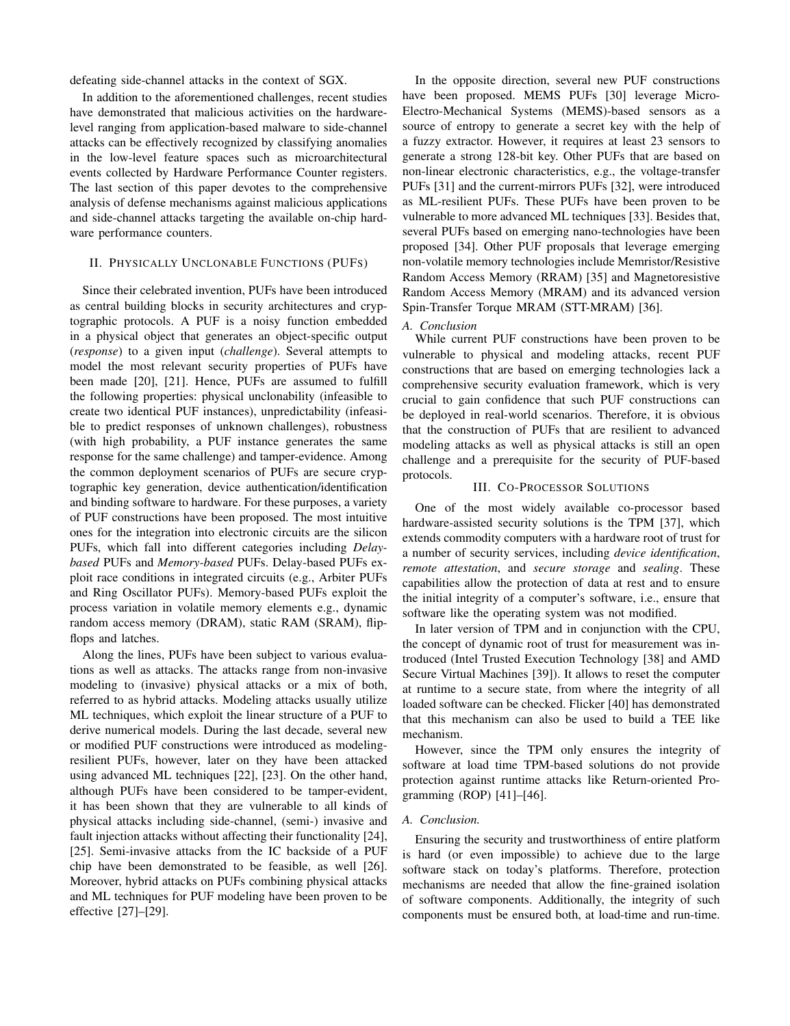defeating side-channel attacks in the context of SGX.

In addition to the aforementioned challenges, recent studies have demonstrated that malicious activities on the hardwarelevel ranging from application-based malware to side-channel attacks can be effectively recognized by classifying anomalies in the low-level feature spaces such as microarchitectural events collected by Hardware Performance Counter registers. The last section of this paper devotes to the comprehensive analysis of defense mechanisms against malicious applications and side-channel attacks targeting the available on-chip hardware performance counters.

## II. PHYSICALLY UNCLONABLE FUNCTIONS (PUFS)

Since their celebrated invention, PUFs have been introduced as central building blocks in security architectures and cryptographic protocols. A PUF is a noisy function embedded in a physical object that generates an object-specific output (*response*) to a given input (*challenge*). Several attempts to model the most relevant security properties of PUFs have been made [20], [21]. Hence, PUFs are assumed to fulfill the following properties: physical unclonability (infeasible to create two identical PUF instances), unpredictability (infeasible to predict responses of unknown challenges), robustness (with high probability, a PUF instance generates the same response for the same challenge) and tamper-evidence. Among the common deployment scenarios of PUFs are secure cryptographic key generation, device authentication/identification and binding software to hardware. For these purposes, a variety of PUF constructions have been proposed. The most intuitive ones for the integration into electronic circuits are the silicon PUFs, which fall into different categories including *Delaybased* PUFs and *Memory-based* PUFs. Delay-based PUFs exploit race conditions in integrated circuits (e.g., Arbiter PUFs and Ring Oscillator PUFs). Memory-based PUFs exploit the process variation in volatile memory elements e.g., dynamic random access memory (DRAM), static RAM (SRAM), flipflops and latches.

Along the lines, PUFs have been subject to various evaluations as well as attacks. The attacks range from non-invasive modeling to (invasive) physical attacks or a mix of both, referred to as hybrid attacks. Modeling attacks usually utilize ML techniques, which exploit the linear structure of a PUF to derive numerical models. During the last decade, several new or modified PUF constructions were introduced as modelingresilient PUFs, however, later on they have been attacked using advanced ML techniques [22], [23]. On the other hand, although PUFs have been considered to be tamper-evident, it has been shown that they are vulnerable to all kinds of physical attacks including side-channel, (semi-) invasive and fault injection attacks without affecting their functionality [24], [25]. Semi-invasive attacks from the IC backside of a PUF chip have been demonstrated to be feasible, as well [26]. Moreover, hybrid attacks on PUFs combining physical attacks and ML techniques for PUF modeling have been proven to be effective [27]–[29].

In the opposite direction, several new PUF constructions have been proposed. MEMS PUFs [30] leverage Micro-Electro-Mechanical Systems (MEMS)-based sensors as a source of entropy to generate a secret key with the help of a fuzzy extractor. However, it requires at least 23 sensors to generate a strong 128-bit key. Other PUFs that are based on non-linear electronic characteristics, e.g., the voltage-transfer PUFs [31] and the current-mirrors PUFs [32], were introduced as ML-resilient PUFs. These PUFs have been proven to be vulnerable to more advanced ML techniques [33]. Besides that, several PUFs based on emerging nano-technologies have been proposed [34]. Other PUF proposals that leverage emerging non-volatile memory technologies include Memristor/Resistive Random Access Memory (RRAM) [35] and Magnetoresistive Random Access Memory (MRAM) and its advanced version Spin-Transfer Torque MRAM (STT-MRAM) [36].

### *A. Conclusion*

While current PUF constructions have been proven to be vulnerable to physical and modeling attacks, recent PUF constructions that are based on emerging technologies lack a comprehensive security evaluation framework, which is very crucial to gain confidence that such PUF constructions can be deployed in real-world scenarios. Therefore, it is obvious that the construction of PUFs that are resilient to advanced modeling attacks as well as physical attacks is still an open challenge and a prerequisite for the security of PUF-based protocols.

#### III. CO-PROCESSOR SOLUTIONS

One of the most widely available co-processor based hardware-assisted security solutions is the TPM [37], which extends commodity computers with a hardware root of trust for a number of security services, including *device identification*, *remote attestation*, and *secure storage* and *sealing*. These capabilities allow the protection of data at rest and to ensure the initial integrity of a computer's software, i.e., ensure that software like the operating system was not modified.

In later version of TPM and in conjunction with the CPU, the concept of dynamic root of trust for measurement was introduced (Intel Trusted Execution Technology [38] and AMD Secure Virtual Machines [39]). It allows to reset the computer at runtime to a secure state, from where the integrity of all loaded software can be checked. Flicker [40] has demonstrated that this mechanism can also be used to build a TEE like mechanism.

However, since the TPM only ensures the integrity of software at load time TPM-based solutions do not provide protection against runtime attacks like Return-oriented Programming (ROP) [41]–[46].

#### *A. Conclusion.*

Ensuring the security and trustworthiness of entire platform is hard (or even impossible) to achieve due to the large software stack on today's platforms. Therefore, protection mechanisms are needed that allow the fine-grained isolation of software components. Additionally, the integrity of such components must be ensured both, at load-time and run-time.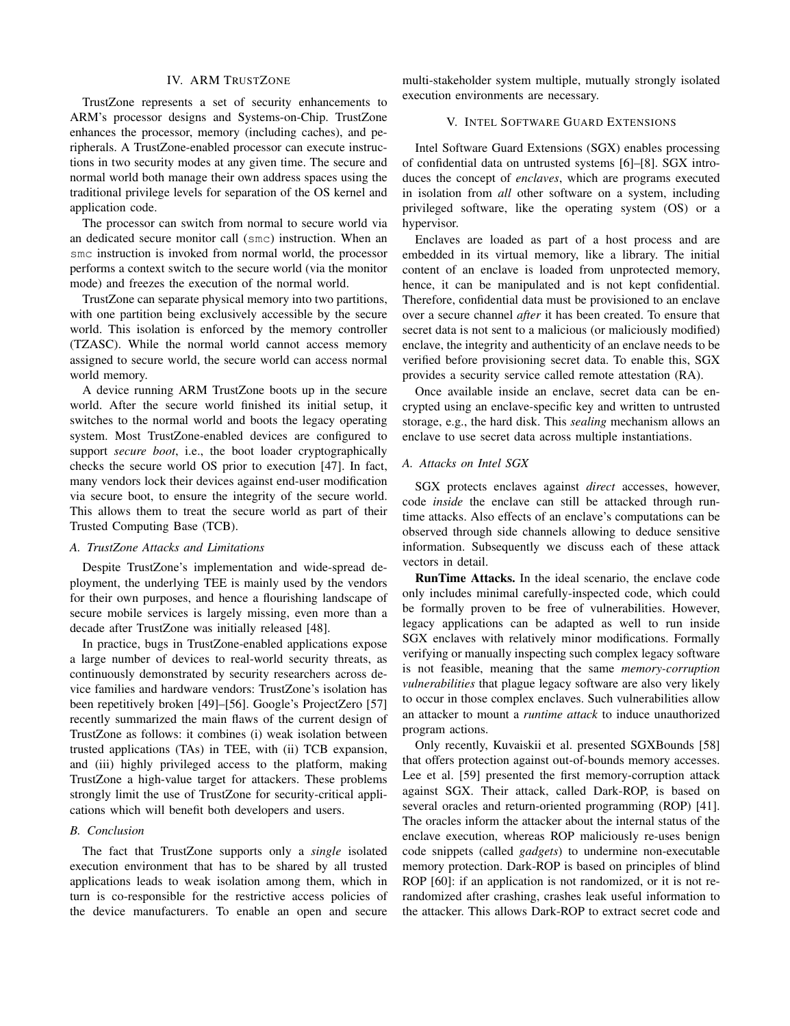#### IV. ARM TRUSTZONE

TrustZone represents a set of security enhancements to ARM's processor designs and Systems-on-Chip. TrustZone enhances the processor, memory (including caches), and peripherals. A TrustZone-enabled processor can execute instructions in two security modes at any given time. The secure and normal world both manage their own address spaces using the traditional privilege levels for separation of the OS kernel and application code.

The processor can switch from normal to secure world via an dedicated secure monitor call (smc) instruction. When an smc instruction is invoked from normal world, the processor performs a context switch to the secure world (via the monitor mode) and freezes the execution of the normal world.

TrustZone can separate physical memory into two partitions, with one partition being exclusively accessible by the secure world. This isolation is enforced by the memory controller (TZASC). While the normal world cannot access memory assigned to secure world, the secure world can access normal world memory.

A device running ARM TrustZone boots up in the secure world. After the secure world finished its initial setup, it switches to the normal world and boots the legacy operating system. Most TrustZone-enabled devices are configured to support *secure boot*, i.e., the boot loader cryptographically checks the secure world OS prior to execution [47]. In fact, many vendors lock their devices against end-user modification via secure boot, to ensure the integrity of the secure world. This allows them to treat the secure world as part of their Trusted Computing Base (TCB).

#### *A. TrustZone Attacks and Limitations*

Despite TrustZone's implementation and wide-spread deployment, the underlying TEE is mainly used by the vendors for their own purposes, and hence a flourishing landscape of secure mobile services is largely missing, even more than a decade after TrustZone was initially released [48].

In practice, bugs in TrustZone-enabled applications expose a large number of devices to real-world security threats, as continuously demonstrated by security researchers across device families and hardware vendors: TrustZone's isolation has been repetitively broken [49]–[56]. Google's ProjectZero [57] recently summarized the main flaws of the current design of TrustZone as follows: it combines (i) weak isolation between trusted applications (TAs) in TEE, with (ii) TCB expansion, and (iii) highly privileged access to the platform, making TrustZone a high-value target for attackers. These problems strongly limit the use of TrustZone for security-critical applications which will benefit both developers and users.

#### *B. Conclusion*

The fact that TrustZone supports only a *single* isolated execution environment that has to be shared by all trusted applications leads to weak isolation among them, which in turn is co-responsible for the restrictive access policies of the device manufacturers. To enable an open and secure multi-stakeholder system multiple, mutually strongly isolated execution environments are necessary.

# V. INTEL SOFTWARE GUARD EXTENSIONS

Intel Software Guard Extensions (SGX) enables processing of confidential data on untrusted systems [6]–[8]. SGX introduces the concept of *enclaves*, which are programs executed in isolation from *all* other software on a system, including privileged software, like the operating system (OS) or a hypervisor.

Enclaves are loaded as part of a host process and are embedded in its virtual memory, like a library. The initial content of an enclave is loaded from unprotected memory, hence, it can be manipulated and is not kept confidential. Therefore, confidential data must be provisioned to an enclave over a secure channel *after* it has been created. To ensure that secret data is not sent to a malicious (or maliciously modified) enclave, the integrity and authenticity of an enclave needs to be verified before provisioning secret data. To enable this, SGX provides a security service called remote attestation (RA).

Once available inside an enclave, secret data can be encrypted using an enclave-specific key and written to untrusted storage, e.g., the hard disk. This *sealing* mechanism allows an enclave to use secret data across multiple instantiations.

#### *A. Attacks on Intel SGX*

SGX protects enclaves against *direct* accesses, however, code *inside* the enclave can still be attacked through runtime attacks. Also effects of an enclave's computations can be observed through side channels allowing to deduce sensitive information. Subsequently we discuss each of these attack vectors in detail.

RunTime Attacks. In the ideal scenario, the enclave code only includes minimal carefully-inspected code, which could be formally proven to be free of vulnerabilities. However, legacy applications can be adapted as well to run inside SGX enclaves with relatively minor modifications. Formally verifying or manually inspecting such complex legacy software is not feasible, meaning that the same *memory-corruption vulnerabilities* that plague legacy software are also very likely to occur in those complex enclaves. Such vulnerabilities allow an attacker to mount a *runtime attack* to induce unauthorized program actions.

Only recently, Kuvaiskii et al. presented SGXBounds [58] that offers protection against out-of-bounds memory accesses. Lee et al. [59] presented the first memory-corruption attack against SGX. Their attack, called Dark-ROP, is based on several oracles and return-oriented programming (ROP) [41]. The oracles inform the attacker about the internal status of the enclave execution, whereas ROP maliciously re-uses benign code snippets (called *gadgets*) to undermine non-executable memory protection. Dark-ROP is based on principles of blind ROP [60]: if an application is not randomized, or it is not rerandomized after crashing, crashes leak useful information to the attacker. This allows Dark-ROP to extract secret code and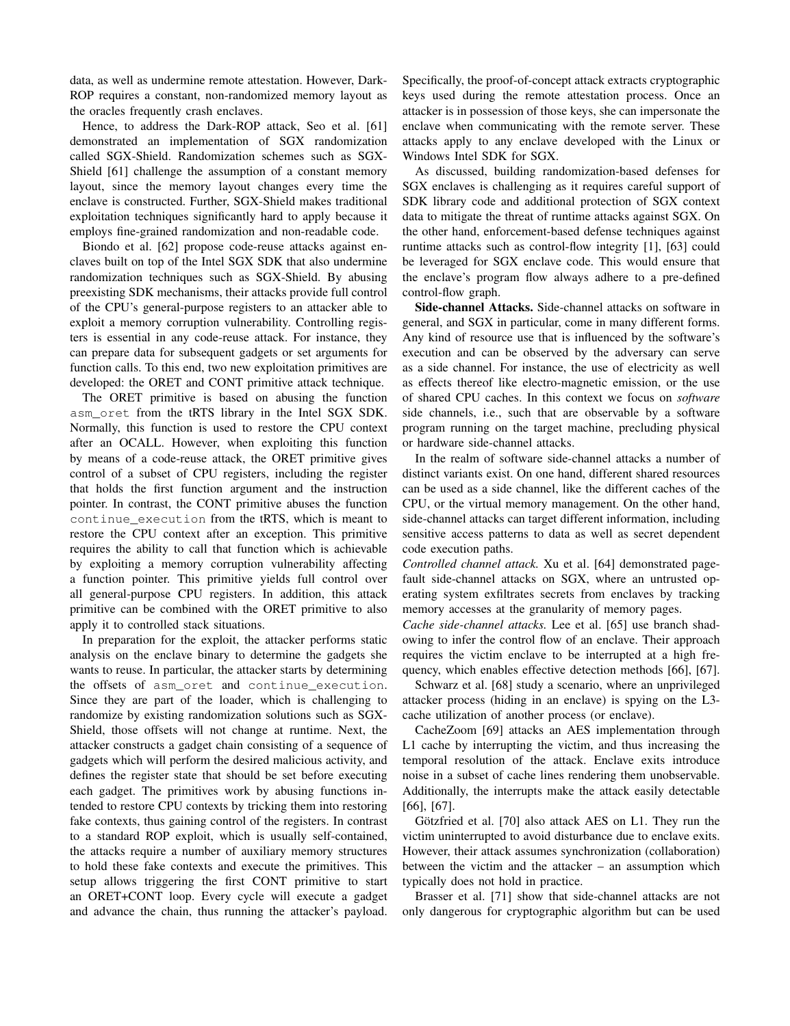data, as well as undermine remote attestation. However, Dark-ROP requires a constant, non-randomized memory layout as the oracles frequently crash enclaves.

Hence, to address the Dark-ROP attack, Seo et al. [61] demonstrated an implementation of SGX randomization called SGX-Shield. Randomization schemes such as SGX-Shield [61] challenge the assumption of a constant memory layout, since the memory layout changes every time the enclave is constructed. Further, SGX-Shield makes traditional exploitation techniques significantly hard to apply because it employs fine-grained randomization and non-readable code.

Biondo et al. [62] propose code-reuse attacks against enclaves built on top of the Intel SGX SDK that also undermine randomization techniques such as SGX-Shield. By abusing preexisting SDK mechanisms, their attacks provide full control of the CPU's general-purpose registers to an attacker able to exploit a memory corruption vulnerability. Controlling registers is essential in any code-reuse attack. For instance, they can prepare data for subsequent gadgets or set arguments for function calls. To this end, two new exploitation primitives are developed: the ORET and CONT primitive attack technique.

The ORET primitive is based on abusing the function asm oret from the tRTS library in the Intel SGX SDK. Normally, this function is used to restore the CPU context after an OCALL. However, when exploiting this function by means of a code-reuse attack, the ORET primitive gives control of a subset of CPU registers, including the register that holds the first function argument and the instruction pointer. In contrast, the CONT primitive abuses the function continue\_execution from the tRTS, which is meant to restore the CPU context after an exception. This primitive requires the ability to call that function which is achievable by exploiting a memory corruption vulnerability affecting a function pointer. This primitive yields full control over all general-purpose CPU registers. In addition, this attack primitive can be combined with the ORET primitive to also apply it to controlled stack situations.

In preparation for the exploit, the attacker performs static analysis on the enclave binary to determine the gadgets she wants to reuse. In particular, the attacker starts by determining the offsets of asm oret and continue execution. Since they are part of the loader, which is challenging to randomize by existing randomization solutions such as SGX-Shield, those offsets will not change at runtime. Next, the attacker constructs a gadget chain consisting of a sequence of gadgets which will perform the desired malicious activity, and defines the register state that should be set before executing each gadget. The primitives work by abusing functions intended to restore CPU contexts by tricking them into restoring fake contexts, thus gaining control of the registers. In contrast to a standard ROP exploit, which is usually self-contained, the attacks require a number of auxiliary memory structures to hold these fake contexts and execute the primitives. This setup allows triggering the first CONT primitive to start an ORET+CONT loop. Every cycle will execute a gadget and advance the chain, thus running the attacker's payload.

Specifically, the proof-of-concept attack extracts cryptographic keys used during the remote attestation process. Once an attacker is in possession of those keys, she can impersonate the enclave when communicating with the remote server. These attacks apply to any enclave developed with the Linux or Windows Intel SDK for SGX.

As discussed, building randomization-based defenses for SGX enclaves is challenging as it requires careful support of SDK library code and additional protection of SGX context data to mitigate the threat of runtime attacks against SGX. On the other hand, enforcement-based defense techniques against runtime attacks such as control-flow integrity [1], [63] could be leveraged for SGX enclave code. This would ensure that the enclave's program flow always adhere to a pre-defined control-flow graph.

Side-channel Attacks. Side-channel attacks on software in general, and SGX in particular, come in many different forms. Any kind of resource use that is influenced by the software's execution and can be observed by the adversary can serve as a side channel. For instance, the use of electricity as well as effects thereof like electro-magnetic emission, or the use of shared CPU caches. In this context we focus on *software* side channels, i.e., such that are observable by a software program running on the target machine, precluding physical or hardware side-channel attacks.

In the realm of software side-channel attacks a number of distinct variants exist. On one hand, different shared resources can be used as a side channel, like the different caches of the CPU, or the virtual memory management. On the other hand, side-channel attacks can target different information, including sensitive access patterns to data as well as secret dependent code execution paths.

*Controlled channel attack.* Xu et al. [64] demonstrated pagefault side-channel attacks on SGX, where an untrusted operating system exfiltrates secrets from enclaves by tracking memory accesses at the granularity of memory pages.

*Cache side-channel attacks.* Lee et al. [65] use branch shadowing to infer the control flow of an enclave. Their approach requires the victim enclave to be interrupted at a high frequency, which enables effective detection methods [66], [67].

Schwarz et al. [68] study a scenario, where an unprivileged attacker process (hiding in an enclave) is spying on the L3 cache utilization of another process (or enclave).

CacheZoom [69] attacks an AES implementation through L1 cache by interrupting the victim, and thus increasing the temporal resolution of the attack. Enclave exits introduce noise in a subset of cache lines rendering them unobservable. Additionally, the interrupts make the attack easily detectable [66], [67].

Götzfried et al. [70] also attack AES on L1. They run the victim uninterrupted to avoid disturbance due to enclave exits. However, their attack assumes synchronization (collaboration) between the victim and the attacker – an assumption which typically does not hold in practice.

Brasser et al. [71] show that side-channel attacks are not only dangerous for cryptographic algorithm but can be used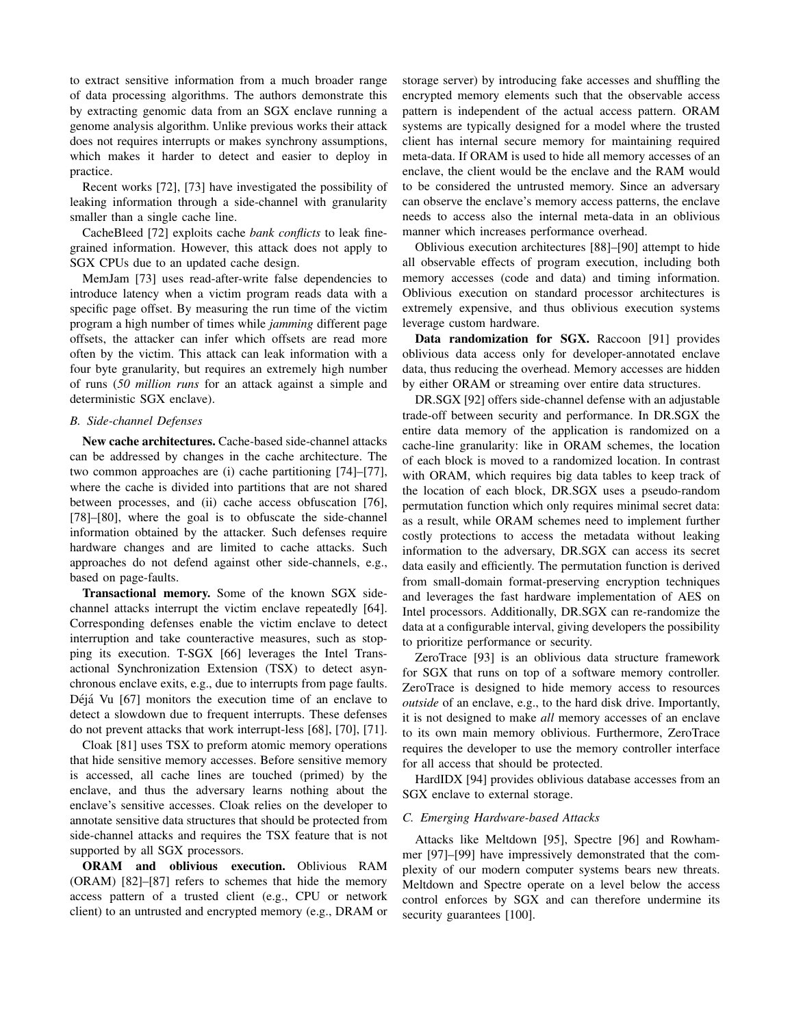to extract sensitive information from a much broader range of data processing algorithms. The authors demonstrate this by extracting genomic data from an SGX enclave running a genome analysis algorithm. Unlike previous works their attack does not requires interrupts or makes synchrony assumptions, which makes it harder to detect and easier to deploy in practice.

Recent works [72], [73] have investigated the possibility of leaking information through a side-channel with granularity smaller than a single cache line.

CacheBleed [72] exploits cache *bank conflicts* to leak finegrained information. However, this attack does not apply to SGX CPUs due to an updated cache design.

MemJam [73] uses read-after-write false dependencies to introduce latency when a victim program reads data with a specific page offset. By measuring the run time of the victim program a high number of times while *jamming* different page offsets, the attacker can infer which offsets are read more often by the victim. This attack can leak information with a four byte granularity, but requires an extremely high number of runs (*50 million runs* for an attack against a simple and deterministic SGX enclave).

## *B. Side-channel Defenses*

New cache architectures. Cache-based side-channel attacks can be addressed by changes in the cache architecture. The two common approaches are (i) cache partitioning [74]–[77], where the cache is divided into partitions that are not shared between processes, and (ii) cache access obfuscation [76], [78]–[80], where the goal is to obfuscate the side-channel information obtained by the attacker. Such defenses require hardware changes and are limited to cache attacks. Such approaches do not defend against other side-channels, e.g., based on page-faults.

Transactional memory. Some of the known SGX sidechannel attacks interrupt the victim enclave repeatedly [64]. Corresponding defenses enable the victim enclave to detect interruption and take counteractive measures, such as stopping its execution. T-SGX [66] leverages the Intel Transactional Synchronization Extension (TSX) to detect asynchronous enclave exits, e.g., due to interrupts from page faults. Déjá Vu  $[67]$  monitors the execution time of an enclave to detect a slowdown due to frequent interrupts. These defenses do not prevent attacks that work interrupt-less [68], [70], [71].

Cloak [81] uses TSX to preform atomic memory operations that hide sensitive memory accesses. Before sensitive memory is accessed, all cache lines are touched (primed) by the enclave, and thus the adversary learns nothing about the enclave's sensitive accesses. Cloak relies on the developer to annotate sensitive data structures that should be protected from side-channel attacks and requires the TSX feature that is not supported by all SGX processors.

ORAM and oblivious execution. Oblivious RAM (ORAM) [82]–[87] refers to schemes that hide the memory access pattern of a trusted client (e.g., CPU or network client) to an untrusted and encrypted memory (e.g., DRAM or storage server) by introducing fake accesses and shuffling the encrypted memory elements such that the observable access pattern is independent of the actual access pattern. ORAM systems are typically designed for a model where the trusted client has internal secure memory for maintaining required meta-data. If ORAM is used to hide all memory accesses of an enclave, the client would be the enclave and the RAM would to be considered the untrusted memory. Since an adversary can observe the enclave's memory access patterns, the enclave needs to access also the internal meta-data in an oblivious manner which increases performance overhead.

Oblivious execution architectures [88]–[90] attempt to hide all observable effects of program execution, including both memory accesses (code and data) and timing information. Oblivious execution on standard processor architectures is extremely expensive, and thus oblivious execution systems leverage custom hardware.

Data randomization for SGX. Raccoon [91] provides oblivious data access only for developer-annotated enclave data, thus reducing the overhead. Memory accesses are hidden by either ORAM or streaming over entire data structures.

DR.SGX [92] offers side-channel defense with an adjustable trade-off between security and performance. In DR.SGX the entire data memory of the application is randomized on a cache-line granularity: like in ORAM schemes, the location of each block is moved to a randomized location. In contrast with ORAM, which requires big data tables to keep track of the location of each block, DR.SGX uses a pseudo-random permutation function which only requires minimal secret data: as a result, while ORAM schemes need to implement further costly protections to access the metadata without leaking information to the adversary, DR.SGX can access its secret data easily and efficiently. The permutation function is derived from small-domain format-preserving encryption techniques and leverages the fast hardware implementation of AES on Intel processors. Additionally, DR.SGX can re-randomize the data at a configurable interval, giving developers the possibility to prioritize performance or security.

ZeroTrace [93] is an oblivious data structure framework for SGX that runs on top of a software memory controller. ZeroTrace is designed to hide memory access to resources *outside* of an enclave, e.g., to the hard disk drive. Importantly, it is not designed to make *all* memory accesses of an enclave to its own main memory oblivious. Furthermore, ZeroTrace requires the developer to use the memory controller interface for all access that should be protected.

HardIDX [94] provides oblivious database accesses from an SGX enclave to external storage.

#### *C. Emerging Hardware-based Attacks*

Attacks like Meltdown [95], Spectre [96] and Rowhammer [97]–[99] have impressively demonstrated that the complexity of our modern computer systems bears new threats. Meltdown and Spectre operate on a level below the access control enforces by SGX and can therefore undermine its security guarantees [100].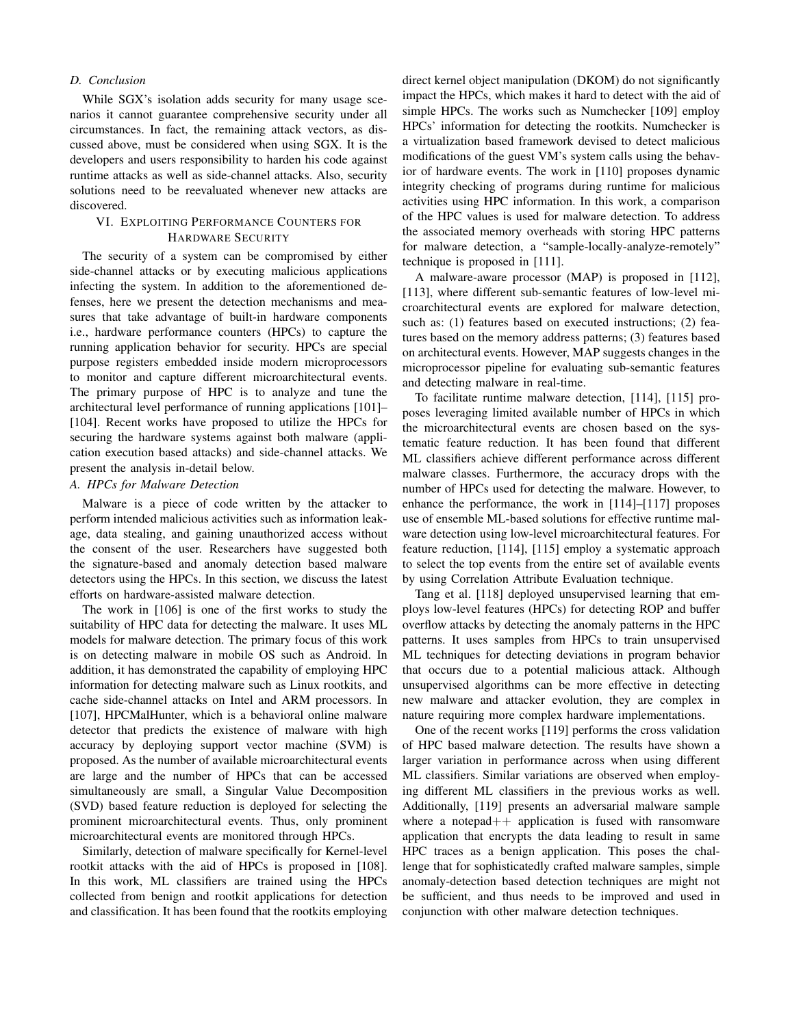# *D. Conclusion*

While SGX's isolation adds security for many usage scenarios it cannot guarantee comprehensive security under all circumstances. In fact, the remaining attack vectors, as discussed above, must be considered when using SGX. It is the developers and users responsibility to harden his code against runtime attacks as well as side-channel attacks. Also, security solutions need to be reevaluated whenever new attacks are discovered.

## VI. EXPLOITING PERFORMANCE COUNTERS FOR HARDWARE SECURITY

The security of a system can be compromised by either side-channel attacks or by executing malicious applications infecting the system. In addition to the aforementioned defenses, here we present the detection mechanisms and measures that take advantage of built-in hardware components i.e., hardware performance counters (HPCs) to capture the running application behavior for security. HPCs are special purpose registers embedded inside modern microprocessors to monitor and capture different microarchitectural events. The primary purpose of HPC is to analyze and tune the architectural level performance of running applications [101]– [104]. Recent works have proposed to utilize the HPCs for securing the hardware systems against both malware (application execution based attacks) and side-channel attacks. We present the analysis in-detail below.

## *A. HPCs for Malware Detection*

Malware is a piece of code written by the attacker to perform intended malicious activities such as information leakage, data stealing, and gaining unauthorized access without the consent of the user. Researchers have suggested both the signature-based and anomaly detection based malware detectors using the HPCs. In this section, we discuss the latest efforts on hardware-assisted malware detection.

The work in [106] is one of the first works to study the suitability of HPC data for detecting the malware. It uses ML models for malware detection. The primary focus of this work is on detecting malware in mobile OS such as Android. In addition, it has demonstrated the capability of employing HPC information for detecting malware such as Linux rootkits, and cache side-channel attacks on Intel and ARM processors. In [107], HPCMalHunter, which is a behavioral online malware detector that predicts the existence of malware with high accuracy by deploying support vector machine (SVM) is proposed. As the number of available microarchitectural events are large and the number of HPCs that can be accessed simultaneously are small, a Singular Value Decomposition (SVD) based feature reduction is deployed for selecting the prominent microarchitectural events. Thus, only prominent microarchitectural events are monitored through HPCs.

Similarly, detection of malware specifically for Kernel-level rootkit attacks with the aid of HPCs is proposed in [108]. In this work, ML classifiers are trained using the HPCs collected from benign and rootkit applications for detection and classification. It has been found that the rootkits employing

direct kernel object manipulation (DKOM) do not significantly impact the HPCs, which makes it hard to detect with the aid of simple HPCs. The works such as Numchecker [109] employ HPCs' information for detecting the rootkits. Numchecker is a virtualization based framework devised to detect malicious modifications of the guest VM's system calls using the behavior of hardware events. The work in [110] proposes dynamic integrity checking of programs during runtime for malicious activities using HPC information. In this work, a comparison of the HPC values is used for malware detection. To address the associated memory overheads with storing HPC patterns for malware detection, a "sample-locally-analyze-remotely" technique is proposed in [111].

A malware-aware processor (MAP) is proposed in [112], [113], where different sub-semantic features of low-level microarchitectural events are explored for malware detection, such as: (1) features based on executed instructions; (2) features based on the memory address patterns; (3) features based on architectural events. However, MAP suggests changes in the microprocessor pipeline for evaluating sub-semantic features and detecting malware in real-time.

To facilitate runtime malware detection, [114], [115] proposes leveraging limited available number of HPCs in which the microarchitectural events are chosen based on the systematic feature reduction. It has been found that different ML classifiers achieve different performance across different malware classes. Furthermore, the accuracy drops with the number of HPCs used for detecting the malware. However, to enhance the performance, the work in [114]–[117] proposes use of ensemble ML-based solutions for effective runtime malware detection using low-level microarchitectural features. For feature reduction, [114], [115] employ a systematic approach to select the top events from the entire set of available events by using Correlation Attribute Evaluation technique.

Tang et al. [118] deployed unsupervised learning that employs low-level features (HPCs) for detecting ROP and buffer overflow attacks by detecting the anomaly patterns in the HPC patterns. It uses samples from HPCs to train unsupervised ML techniques for detecting deviations in program behavior that occurs due to a potential malicious attack. Although unsupervised algorithms can be more effective in detecting new malware and attacker evolution, they are complex in nature requiring more complex hardware implementations.

One of the recent works [119] performs the cross validation of HPC based malware detection. The results have shown a larger variation in performance across when using different ML classifiers. Similar variations are observed when employing different ML classifiers in the previous works as well. Additionally, [119] presents an adversarial malware sample where a notepad $++$  application is fused with ransomware application that encrypts the data leading to result in same HPC traces as a benign application. This poses the challenge that for sophisticatedly crafted malware samples, simple anomaly-detection based detection techniques are might not be sufficient, and thus needs to be improved and used in conjunction with other malware detection techniques.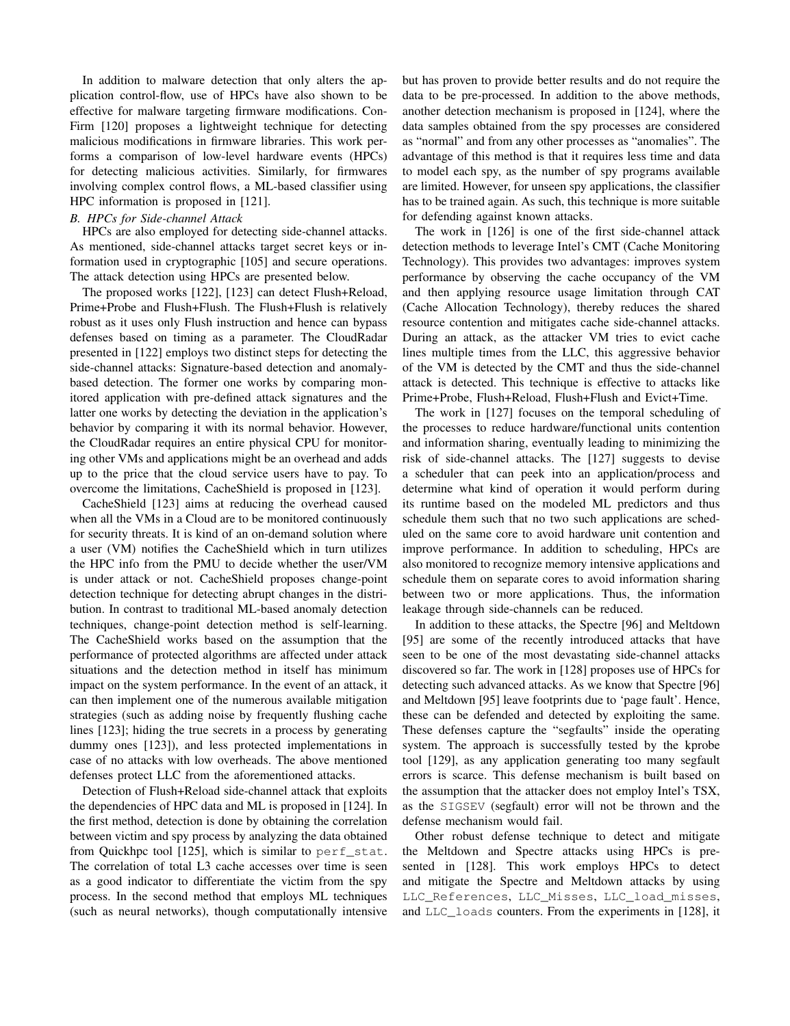In addition to malware detection that only alters the application control-flow, use of HPCs have also shown to be effective for malware targeting firmware modifications. Con-Firm [120] proposes a lightweight technique for detecting malicious modifications in firmware libraries. This work performs a comparison of low-level hardware events (HPCs) for detecting malicious activities. Similarly, for firmwares involving complex control flows, a ML-based classifier using HPC information is proposed in [121].

## *B. HPCs for Side-channel Attack*

HPCs are also employed for detecting side-channel attacks. As mentioned, side-channel attacks target secret keys or information used in cryptographic [105] and secure operations. The attack detection using HPCs are presented below.

The proposed works [122], [123] can detect Flush+Reload, Prime+Probe and Flush+Flush. The Flush+Flush is relatively robust as it uses only Flush instruction and hence can bypass defenses based on timing as a parameter. The CloudRadar presented in [122] employs two distinct steps for detecting the side-channel attacks: Signature-based detection and anomalybased detection. The former one works by comparing monitored application with pre-defined attack signatures and the latter one works by detecting the deviation in the application's behavior by comparing it with its normal behavior. However, the CloudRadar requires an entire physical CPU for monitoring other VMs and applications might be an overhead and adds up to the price that the cloud service users have to pay. To overcome the limitations, CacheShield is proposed in [123].

CacheShield [123] aims at reducing the overhead caused when all the VMs in a Cloud are to be monitored continuously for security threats. It is kind of an on-demand solution where a user (VM) notifies the CacheShield which in turn utilizes the HPC info from the PMU to decide whether the user/VM is under attack or not. CacheShield proposes change-point detection technique for detecting abrupt changes in the distribution. In contrast to traditional ML-based anomaly detection techniques, change-point detection method is self-learning. The CacheShield works based on the assumption that the performance of protected algorithms are affected under attack situations and the detection method in itself has minimum impact on the system performance. In the event of an attack, it can then implement one of the numerous available mitigation strategies (such as adding noise by frequently flushing cache lines [123]; hiding the true secrets in a process by generating dummy ones [123]), and less protected implementations in case of no attacks with low overheads. The above mentioned defenses protect LLC from the aforementioned attacks.

Detection of Flush+Reload side-channel attack that exploits the dependencies of HPC data and ML is proposed in [124]. In the first method, detection is done by obtaining the correlation between victim and spy process by analyzing the data obtained from Quickhpc tool [125], which is similar to perf\_stat. The correlation of total L3 cache accesses over time is seen as a good indicator to differentiate the victim from the spy process. In the second method that employs ML techniques (such as neural networks), though computationally intensive but has proven to provide better results and do not require the data to be pre-processed. In addition to the above methods, another detection mechanism is proposed in [124], where the data samples obtained from the spy processes are considered as "normal" and from any other processes as "anomalies". The advantage of this method is that it requires less time and data to model each spy, as the number of spy programs available are limited. However, for unseen spy applications, the classifier has to be trained again. As such, this technique is more suitable for defending against known attacks.

The work in [126] is one of the first side-channel attack detection methods to leverage Intel's CMT (Cache Monitoring Technology). This provides two advantages: improves system performance by observing the cache occupancy of the VM and then applying resource usage limitation through CAT (Cache Allocation Technology), thereby reduces the shared resource contention and mitigates cache side-channel attacks. During an attack, as the attacker VM tries to evict cache lines multiple times from the LLC, this aggressive behavior of the VM is detected by the CMT and thus the side-channel attack is detected. This technique is effective to attacks like Prime+Probe, Flush+Reload, Flush+Flush and Evict+Time.

The work in [127] focuses on the temporal scheduling of the processes to reduce hardware/functional units contention and information sharing, eventually leading to minimizing the risk of side-channel attacks. The [127] suggests to devise a scheduler that can peek into an application/process and determine what kind of operation it would perform during its runtime based on the modeled ML predictors and thus schedule them such that no two such applications are scheduled on the same core to avoid hardware unit contention and improve performance. In addition to scheduling, HPCs are also monitored to recognize memory intensive applications and schedule them on separate cores to avoid information sharing between two or more applications. Thus, the information leakage through side-channels can be reduced.

In addition to these attacks, the Spectre [96] and Meltdown [95] are some of the recently introduced attacks that have seen to be one of the most devastating side-channel attacks discovered so far. The work in [128] proposes use of HPCs for detecting such advanced attacks. As we know that Spectre [96] and Meltdown [95] leave footprints due to 'page fault'. Hence, these can be defended and detected by exploiting the same. These defenses capture the "segfaults" inside the operating system. The approach is successfully tested by the kprobe tool [129], as any application generating too many segfault errors is scarce. This defense mechanism is built based on the assumption that the attacker does not employ Intel's TSX, as the SIGSEV (segfault) error will not be thrown and the defense mechanism would fail.

Other robust defense technique to detect and mitigate the Meltdown and Spectre attacks using HPCs is presented in [128]. This work employs HPCs to detect and mitigate the Spectre and Meltdown attacks by using LLC\_References, LLC\_Misses, LLC\_load\_misses, and LLC\_loads counters. From the experiments in [128], it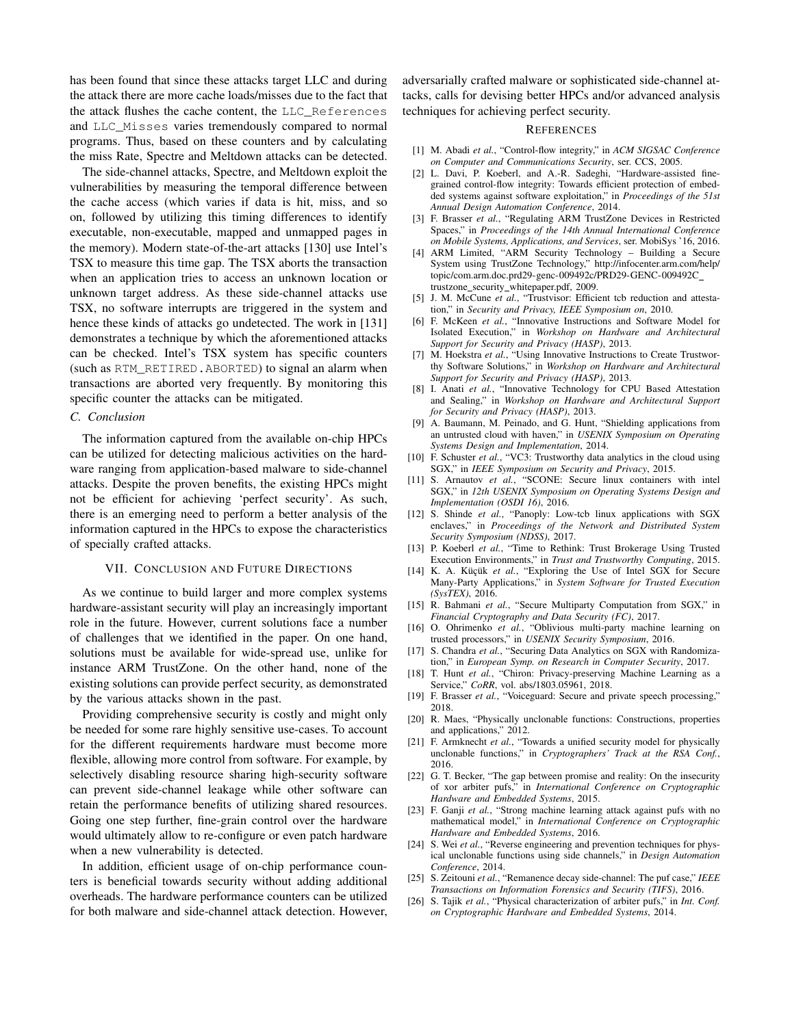has been found that since these attacks target LLC and during the attack there are more cache loads/misses due to the fact that the attack flushes the cache content, the LLC\_References and LLC\_Misses varies tremendously compared to normal programs. Thus, based on these counters and by calculating the miss Rate, Spectre and Meltdown attacks can be detected.

The side-channel attacks, Spectre, and Meltdown exploit the vulnerabilities by measuring the temporal difference between the cache access (which varies if data is hit, miss, and so on, followed by utilizing this timing differences to identify executable, non-executable, mapped and unmapped pages in the memory). Modern state-of-the-art attacks [130] use Intel's TSX to measure this time gap. The TSX aborts the transaction when an application tries to access an unknown location or unknown target address. As these side-channel attacks use TSX, no software interrupts are triggered in the system and hence these kinds of attacks go undetected. The work in [131] demonstrates a technique by which the aforementioned attacks can be checked. Intel's TSX system has specific counters (such as RTM\_RETIRED.ABORTED) to signal an alarm when transactions are aborted very frequently. By monitoring this specific counter the attacks can be mitigated.

## *C. Conclusion*

The information captured from the available on-chip HPCs can be utilized for detecting malicious activities on the hardware ranging from application-based malware to side-channel attacks. Despite the proven benefits, the existing HPCs might not be efficient for achieving 'perfect security'. As such, there is an emerging need to perform a better analysis of the information captured in the HPCs to expose the characteristics of specially crafted attacks.

#### VII. CONCLUSION AND FUTURE DIRECTIONS

As we continue to build larger and more complex systems hardware-assistant security will play an increasingly important role in the future. However, current solutions face a number of challenges that we identified in the paper. On one hand, solutions must be available for wide-spread use, unlike for instance ARM TrustZone. On the other hand, none of the existing solutions can provide perfect security, as demonstrated by the various attacks shown in the past.

Providing comprehensive security is costly and might only be needed for some rare highly sensitive use-cases. To account for the different requirements hardware must become more flexible, allowing more control from software. For example, by selectively disabling resource sharing high-security software can prevent side-channel leakage while other software can retain the performance benefits of utilizing shared resources. Going one step further, fine-grain control over the hardware would ultimately allow to re-configure or even patch hardware when a new vulnerability is detected.

In addition, efficient usage of on-chip performance counters is beneficial towards security without adding additional overheads. The hardware performance counters can be utilized for both malware and side-channel attack detection. However, adversarially crafted malware or sophisticated side-channel attacks, calls for devising better HPCs and/or advanced analysis techniques for achieving perfect security.

#### **REFERENCES**

- [1] M. Abadi *et al.*, "Control-flow integrity," in *ACM SIGSAC Conference on Computer and Communications Security*, ser. CCS, 2005.
- [2] L. Davi, P. Koeberl, and A.-R. Sadeghi, "Hardware-assisted finegrained control-flow integrity: Towards efficient protection of embedded systems against software exploitation," in *Proceedings of the 51st Annual Design Automation Conference*, 2014.
- [3] F. Brasser *et al.*, "Regulating ARM TrustZone Devices in Restricted Spaces," in *Proceedings of the 14th Annual International Conference on Mobile Systems, Applications, and Services*, ser. MobiSys '16, 2016.
- [4] ARM Limited, "ARM Security Technology Building a Secure System using TrustZone Technology," http://infocenter.arm.com/help/ topic/com.arm.doc.prd29-genc-009492c/PRD29-GENC-009492C trustzone security whitepaper.pdf, 2009.
- [5] J. M. McCune *et al.*, "Trustvisor: Efficient tcb reduction and attestation," in *Security and Privacy, IEEE Symposium on*, 2010.
- [6] F. McKeen *et al.*, "Innovative Instructions and Software Model for Isolated Execution," in *Workshop on Hardware and Architectural Support for Security and Privacy (HASP)*, 2013.
- [7] M. Hoekstra *et al.*, "Using Innovative Instructions to Create Trustworthy Software Solutions," in *Workshop on Hardware and Architectural Support for Security and Privacy (HASP)*, 2013.
- [8] I. Anati *et al.*, "Innovative Technology for CPU Based Attestation and Sealing," in *Workshop on Hardware and Architectural Support for Security and Privacy (HASP)*, 2013.
- [9] A. Baumann, M. Peinado, and G. Hunt, "Shielding applications from an untrusted cloud with haven," in *USENIX Symposium on Operating Systems Design and Implementation*, 2014.
- [10] F. Schuster *et al.*, "VC3: Trustworthy data analytics in the cloud using SGX," in *IEEE Symposium on Security and Privacy*, 2015.
- [11] S. Arnautov *et al.*, "SCONE: Secure linux containers with intel SGX," in *12th USENIX Symposium on Operating Systems Design and Implementation (OSDI 16)*, 2016.
- [12] S. Shinde *et al.*, "Panoply: Low-tcb linux applications with SGX enclaves," in *Proceedings of the Network and Distributed System Security Symposium (NDSS)*, 2017.
- [13] P. Koeberl *et al.*, "Time to Rethink: Trust Brokerage Using Trusted Execution Environments," in *Trust and Trustworthy Computing*, 2015.
- [14] K. A. Küçük et al., "Exploring the Use of Intel SGX for Secure Many-Party Applications," in *System Software for Trusted Execution (SysTEX)*, 2016.
- [15] R. Bahmani et al., "Secure Multiparty Computation from SGX," in *Financial Cryptography and Data Security (FC)*, 2017.
- [16] O. Ohrimenko *et al.*, "Oblivious multi-party machine learning on trusted processors," in *USENIX Security Symposium*, 2016.
- [17] S. Chandra *et al.*, "Securing Data Analytics on SGX with Randomization," in *European Symp. on Research in Computer Security*, 2017.
- [18] T. Hunt et al., "Chiron: Privacy-preserving Machine Learning as a Service," *CoRR*, vol. abs/1803.05961, 2018.
- [19] F. Brasser *et al.*, "Voiceguard: Secure and private speech processing," 2018.
- [20] R. Maes, "Physically unclonable functions: Constructions, properties and applications," 2012.
- [21] F. Armknecht *et al.*, "Towards a unified security model for physically unclonable functions," in *Cryptographers' Track at the RSA Conf.*, 2016.
- [22] G. T. Becker, "The gap between promise and reality: On the insecurity of xor arbiter pufs," in *International Conference on Cryptographic Hardware and Embedded Systems*, 2015.
- [23] F. Ganji *et al.*, "Strong machine learning attack against pufs with no mathematical model," in *International Conference on Cryptographic Hardware and Embedded Systems*, 2016.
- [24] S. Wei *et al.*, "Reverse engineering and prevention techniques for physical unclonable functions using side channels," in *Design Automation Conference*, 2014.
- [25] S. Zeitouni *et al.*, "Remanence decay side-channel: The puf case," *IEEE Transactions on Information Forensics and Security (TIFS)*, 2016.
- [26] S. Tajik *et al.*, "Physical characterization of arbiter pufs," in *Int. Conf. on Cryptographic Hardware and Embedded Systems*, 2014.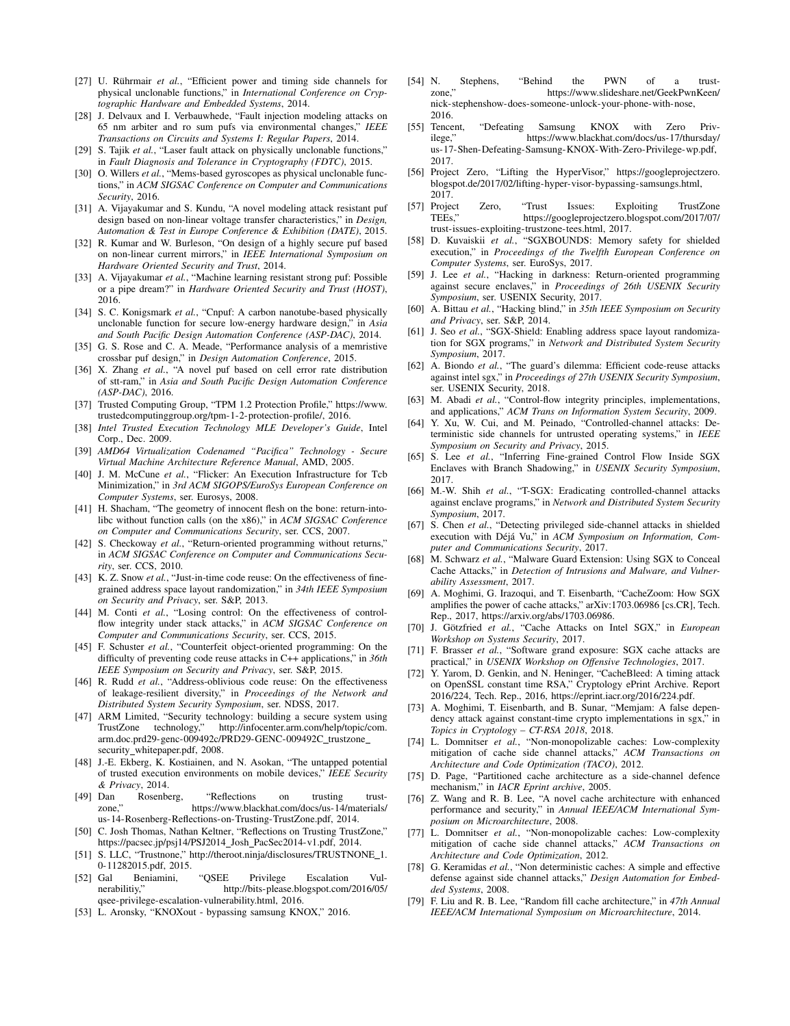- [27] U. Rührmair et al., "Efficient power and timing side channels for physical unclonable functions," in *International Conference on Cryptographic Hardware and Embedded Systems*, 2014.
- [28] J. Delvaux and I. Verbauwhede, "Fault injection modeling attacks on 65 nm arbiter and ro sum pufs via environmental changes," *IEEE Transactions on Circuits and Systems I: Regular Papers*, 2014.
- [29] S. Tajik *et al.*, "Laser fault attack on physically unclonable functions," in *Fault Diagnosis and Tolerance in Cryptography (FDTC)*, 2015.
- [30] O. Willers *et al.*, "Mems-based gyroscopes as physical unclonable functions," in *ACM SIGSAC Conference on Computer and Communications Security*, 2016.
- [31] A. Vijayakumar and S. Kundu, "A novel modeling attack resistant puf design based on non-linear voltage transfer characteristics," in *Design, Automation & Test in Europe Conference & Exhibition (DATE)*, 2015.
- [32] R. Kumar and W. Burleson, "On design of a highly secure puf based on non-linear current mirrors," in *IEEE International Symposium on Hardware Oriented Security and Trust*, 2014.
- [33] A. Vijayakumar *et al.*, "Machine learning resistant strong puf: Possible or a pipe dream?" in *Hardware Oriented Security and Trust (HOST)*, 2016.
- [34] S. C. Konigsmark et al., "Cnpuf: A carbon nanotube-based physically unclonable function for secure low-energy hardware design," in *Asia and South Pacific Design Automation Conference (ASP-DAC)*, 2014.
- [35] G. S. Rose and C. A. Meade, "Performance analysis of a memristive crossbar puf design," in *Design Automation Conference*, 2015.
- [36] X. Zhang *et al.*, "A novel puf based on cell error rate distribution of stt-ram," in *Asia and South Pacific Design Automation Conference (ASP-DAC)*, 2016.
- [37] Trusted Computing Group, "TPM 1.2 Protection Profile," https://www. trustedcomputinggroup.org/tpm-1-2-protection-profile/, 2016.
- [38] *Intel Trusted Execution Technology MLE Developer's Guide*, Intel Corp., Dec. 2009.
- [39] *AMD64 Virtualization Codenamed "Pacifica" Technology Secure Virtual Machine Architecture Reference Manual*, AMD, 2005.
- [40] J. M. McCune *et al.*, "Flicker: An Execution Infrastructure for Tcb Minimization," in *3rd ACM SIGOPS/EuroSys European Conference on Computer Systems*, ser. Eurosys, 2008.
- [41] H. Shacham, "The geometry of innocent flesh on the bone: return-intolibc without function calls (on the x86)," in *ACM SIGSAC Conference on Computer and Communications Security*, ser. CCS, 2007.
- [42] S. Checkoway *et al.*, "Return-oriented programming without returns," in *ACM SIGSAC Conference on Computer and Communications Security*, ser. CCS, 2010.
- [43] K. Z. Snow *et al.*, "Just-in-time code reuse: On the effectiveness of finegrained address space layout randomization," in *34th IEEE Symposium on Security and Privacy*, ser. S&P, 2013.
- [44] M. Conti et al., "Losing control: On the effectiveness of controlflow integrity under stack attacks," in *ACM SIGSAC Conference on Computer and Communications Security*, ser. CCS, 2015.
- [45] F. Schuster *et al.*, "Counterfeit object-oriented programming: On the difficulty of preventing code reuse attacks in C++ applications," in *36th IEEE Symposium on Security and Privacy*, ser. S&P, 2015.
- [46] R. Rudd *et al.*, "Address-oblivious code reuse: On the effectiveness of leakage-resilient diversity," in *Proceedings of the Network and Distributed System Security Symposium*, ser. NDSS, 2017.
- [47] ARM Limited, "Security technology: building a secure system using TrustZone technology," http://infocenter.arm.com/help/topic/com. arm.doc.prd29-genc-009492c/PRD29-GENC-009492C\_trustzone\_ security\_whitepaper.pdf, 2008.
- [48] J.-E. Ekberg, K. Kostiainen, and N. Asokan, "The untapped potential of trusted execution environments on mobile devices," *IEEE Security*
- *& Privacy*, 2014. [49] Dan Rosenberg, "Reflections on trusting trusthttps://www.blackhat.com/docs/us-14/materials/ us-14-Rosenberg-Reflections-on-Trusting-TrustZone.pdf, 2014.
- [50] C. Josh Thomas, Nathan Keltner, "Reflections on Trusting TrustZone," https://pacsec.jp/psj14/PSJ2014 Josh PacSec2014-v1.pdf, 2014.
- [51] S. LLC, "Trustnone," http://theroot.ninja/disclosures/TRUSTNONE\_1. 0-11282015.pdf, 2015.
- [52] Gal Beniamini, "QSEE Privilege Escalation Vulnerabilitiy," http://bits-please.blogspot.com/2016/05/ qsee-privilege-escalation-vulnerability.html, 2016.
- [53] L. Aronsky, "KNOXout bypassing samsung KNOX," 2016.
- [54] N. Stephens, "Behind the PWN of a trust-<br>zone." https://www.slideshare.net/GeekPwnKeen/ https://www.slideshare.net/GeekPwnKeen/ nick-stephenshow-does-someone-unlock-your-phone-with-nose, 2016.
- [55] Tencent, "Defeating Samsung KNOX with Zero Privhttps://www.blackhat.com/docs/us-17/thursday/ us-17-Shen-Defeating-Samsung-KNOX-With-Zero-Privilege-wp.pdf, 2017.
- [56] Project Zero, "Lifting the HyperVisor," https://googleprojectzero. blogspot.de/2017/02/lifting-hyper-visor-bypassing-samsungs.html, 2017.
- [57] Project Zero, "Trust Issues: Exploiting TrustZone https://googleprojectzero.blogspot.com/2017/07/ trust-issues-exploiting-trustzone-tees.html, 2017.
- [58] D. Kuvaiskii *et al.*, "SGXBOUNDS: Memory safety for shielded execution," in *Proceedings of the Twelfth European Conference on Computer Systems*, ser. EuroSys, 2017.
- [59] J. Lee *et al.*, "Hacking in darkness: Return-oriented programming against secure enclaves," in *Proceedings of 26th USENIX Security Symposium*, ser. USENIX Security, 2017.
- [60] A. Bittau *et al.*, "Hacking blind," in *35th IEEE Symposium on Security and Privacy*, ser. S&P, 2014.
- [61] J. Seo et al., "SGX-Shield: Enabling address space layout randomization for SGX programs," in *Network and Distributed System Security Symposium*, 2017.
- [62] A. Biondo *et al.*, "The guard's dilemma: Efficient code-reuse attacks against intel sgx," in *Proceedings of 27th USENIX Security Symposium*, ser. USENIX Security, 2018.
- [63] M. Abadi *et al.*, "Control-flow integrity principles, implementations, and applications," *ACM Trans on Information System Security*, 2009.
- [64] Y. Xu, W. Cui, and M. Peinado, "Controlled-channel attacks: Deterministic side channels for untrusted operating systems," in *IEEE Symposium on Security and Privacy*, 2015.
- [65] S. Lee *et al.*, "Inferring Fine-grained Control Flow Inside SGX Enclaves with Branch Shadowing," in *USENIX Security Symposium*, 2017.
- [66] M.-W. Shih *et al.*, "T-SGX: Eradicating controlled-channel attacks against enclave programs," in *Network and Distributed System Security Symposium*, 2017.
- [67] S. Chen *et al.*, "Detecting privileged side-channel attacks in shielded execution with Déjá Vu," in *ACM Symposium on Information, Computer and Communications Security*, 2017.
- [68] M. Schwarz et al., "Malware Guard Extension: Using SGX to Conceal Cache Attacks," in *Detection of Intrusions and Malware, and Vulnerability Assessment*, 2017.
- [69] A. Moghimi, G. Irazoqui, and T. Eisenbarth, "CacheZoom: How SGX amplifies the power of cache attacks," arXiv:1703.06986 [cs.CR], Tech. Rep., 2017, https://arxiv.org/abs/1703.06986.
- [70] J. Götzfried et al., "Cache Attacks on Intel SGX," in *European Workshop on Systems Security*, 2017.
- [71] F. Brasser *et al.*, "Software grand exposure: SGX cache attacks are practical," in *USENIX Workshop on Offensive Technologies*, 2017.
- [72] Y. Yarom, D. Genkin, and N. Heninger, "CacheBleed: A timing attack on OpenSSL constant time RSA," Cryptology ePrint Archive. Report 2016/224, Tech. Rep., 2016, https://eprint.iacr.org/2016/224.pdf.
- [73] A. Moghimi, T. Eisenbarth, and B. Sunar, "Memjam: A false dependency attack against constant-time crypto implementations in sgx," in *Topics in Cryptology – CT-RSA 2018*, 2018.
- [74] L. Domnitser *et al.*, "Non-monopolizable caches: Low-complexity mitigation of cache side channel attacks," *ACM Transactions on Architecture and Code Optimization (TACO)*, 2012.
- [75] D. Page, "Partitioned cache architecture as a side-channel defence mechanism," in *IACR Eprint archive*, 2005.
- [76] Z. Wang and R. B. Lee, "A novel cache architecture with enhanced performance and security," in *Annual IEEE/ACM International Symposium on Microarchitecture*, 2008.
- [77] L. Domnitser *et al.*, "Non-monopolizable caches: Low-complexity mitigation of cache side channel attacks," *ACM Transactions on Architecture and Code Optimization*, 2012.
- [78] G. Keramidas *et al.*, "Non deterministic caches: A simple and effective defense against side channel attacks," *Design Automation for Embedded Systems*, 2008.
- [79] F. Liu and R. B. Lee, "Random fill cache architecture," in *47th Annual IEEE/ACM International Symposium on Microarchitecture*, 2014.